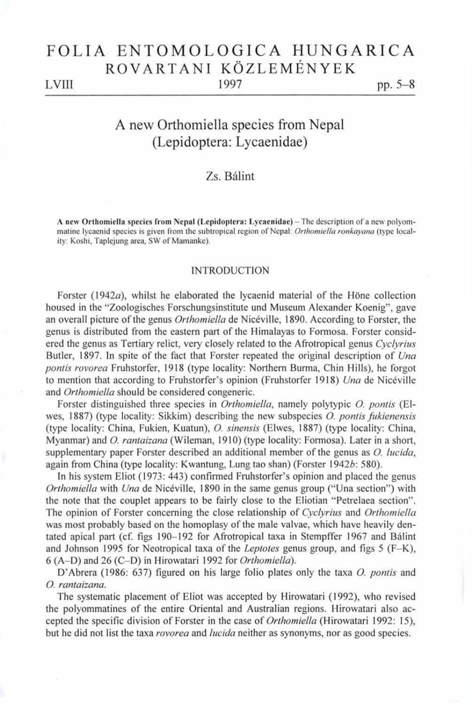# FOLIA ENTOMOLOGICA HUNGARICA ROVARTANI KÖZLEMÉNYEK

LVIII 1997 pp. 5–8

# A new Orthomiella species from Nepal (Lepidoptera: Lycaenidae)

# Zs. Bálint

A new Orthomiella species from Nepal (Lepidoptera: Lycaenidae) - The description of a new polyommatine lycaenid species is given from the subtropical region of Nepal: *Orthomiella ronkayana* (type locality: Koshi, Taplejung area, SW of Mamanke).

## INTRODUCTION

Forster (1942 $a$ ), whilst he elaborated the lycaenid material of the Höne collection housed in the "Zoologisches Forschungsinstitute und Museum Alexander Koenig", gave an overall picture of the genus *Orthomiella* de Nicéville, 1890. According to Forster, the genus is distributed from the eastern part of the Himalayas to Formosa. Forster considered the genus as Tertiary relict, very closely related to the Afrotropical genus *Cyclyrius*  Butler, 1897. In spite of the fact that Forster repeated the original description of Una *pontis rovorea* Fruhstorfer, 1918 (type locality: Northern Burma, Chin Hills), he forgot to mention that according to Fruhstorfer's opinion (Fruhstorfer 1918) *Una* de Nicéville and *Orthomiella* should be considered congeneric.

Forster distinguished three species in *Orthomiella,* namely polytypic *O. pontis* (Elwes, 1887) (type locality: Sikkim) describing the new subspecies *O. pontis fnkienensis*  (type locality: China, Fukien, Kuatun), *O. sinensis* (Elwes, 1887) (type locality: China, Myanmar) and *O. rantaizana* (Wileman, 1910) (type locality: Formosa). Later in a short, supplementary paper Forster described an additional member of the genus as *O. lucida,*  again from China (type locality: Kwantung, Lung tao shan) (Forster 19426: 580).

In his system Eliot (1973: 443) confirmed Fruhstorfer's opinion and placed the genus *Orthomiella* with *Una* de Nicéville, 1890 in the same genus group ("Una section") with the note that the couplet appears to be fairly close to the Eliotian "Petrelaea section". The opinion of Forster concerning the close relationship of *Cyclyrius* and *Orthomiella*  was most probably based on the homoplasy of the male valvae, which have heavily dentated apical part (cf. figs 190-192 for Afrotropical taxa in Stempffer 1967 and Bálint and Johnson 1995 for Neotropical taxa of the *Leptotes* genus group, and figs 5 (F-K), 6 (A-D ) and 26 (C-D) in Hirowatari 1992 for *Orthomiella).* 

D'Abrera (1986: 637) figured on his large folio plates only the taxa *O. pontis* and *O. rantaizana.* 

The systematic placement of Eliot was accepted by Hirowatari (1992), who revised the polyommatines of the entire Oriental and Australian regions. Hirowatari also accepted the specific division of Forster in the case of *Orthomiella* (Hirowatari 1992: 15), but he did not list the taxa *rovorea* and *lucida* neither as synonyms, nor as good species.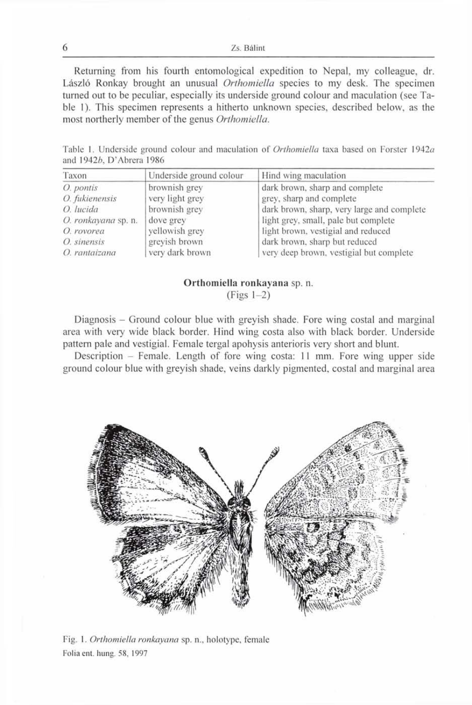Zs. Bálint

Returning from his fourth entomological expedition to Nepal, my colleague, dr. László Ronkay brought an unusual *Orthomiella* species to my desk. The specimen turned out to be peculiar, especially its underside ground colour and maculation (see Table 1). This specimen represents a hitherto unknown species, described below, as the most northerly member of the genus Orthomiella.

Table 1. Underside ground colour and maculation of *Orthomiella* taxa based on Förster 1942a and 1942*b*, D'Abrera 1986

| Taxon               | Underside ground colour | Hind wing maculation                       |
|---------------------|-------------------------|--------------------------------------------|
| O. pontis           | brownish grey           | dark brown, sharp and complete             |
| O. fukienensis      | very light grey         | grey, sharp and complete                   |
| O. lucida           | brownish grey           | dark brown, sharp, very large and complete |
| O. ronkayana sp. n. | dove grey               | light grey, small, pale but complete       |
| O. rovorea          | yellowish grey          | light brown, vestigial and reduced         |
| O. sinensis         | greyish brown           | dark brown, sharp but reduced              |
| O. rantaizana       | very dark brown         | very deep brown, vestigial but complete    |

## **Orthomiella ronkayana** sp. n.  $(Figs 1-2)$

Diagnosis - Ground colour blue with greyish shade. Fore wing costal and marginal area with very wide black border. Hind wing costa also with black border. Underside pattern pale and vestigial. Female tergal apohysis anterioris very short and blunt.

Description - Female. Length of fore wing costa: 11 mm. Fore wing upper side ground colour blue with greyish shade, veins darkly pigmented, costal and marginal area



Fig. 1. *Orthomiella ronkayana* sp. n., holotype, female Folia ent. hung. 58, 1997

6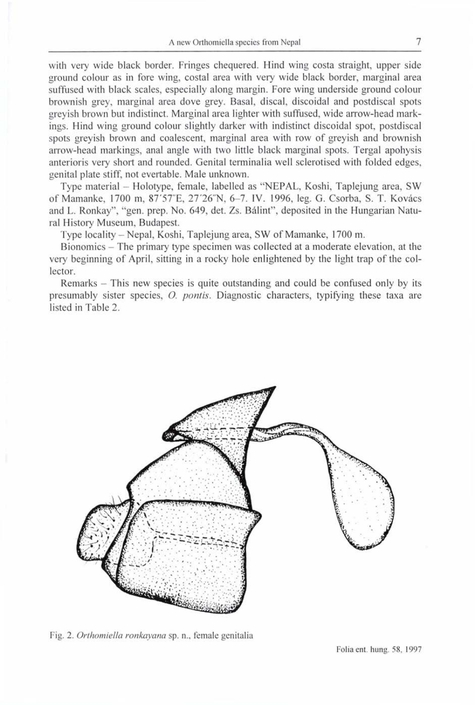with very wide black border. Fringes chequered. Hind wing costa straight, upper side ground colour as in fore wing, costal area with very wide black border, marginal area suffused with black scales, especially along margin. Fore wing underside ground colour brownish grey, marginal area dove grey. Basal, discal, discoidal and postdiscal spots greyish brown but indistinct. Marginal area lighter with suffused, wide arrow-head markings. Hind wing ground colour slightly darker with indistinct discoidal spot, postdiscal spots greyish brown and coalescent, marginal area with row of greyish and brownish arrow-head markings, anal angle with two little black marginal spots. Tergal apohysis anterioris very short and rounded. Genital terminalia well sclerotised with folded edges, genital plate stiff, not evertable. Male unknown.

Type material - Holotype, female, labelled as "NEPAL, Koshi, Taplejung area, SW of Mamanke, 1700 m, 87'57"E, 27'26"N, 6-7. IV. 1996, leg. G. Csorba, S. T. Kovács and L. Ronkay", "gen. prep. No. 649, det. Zs. Bálint", deposited in the Hungarian Natural History Museum, Budapest.

Type locality - Nepal, Koshi, Taplejung area, SW of Mamanke, 1700 m.

Bionomics - The primary type specimen was collected at a moderate elevation, at the very beginning of April, sitting in a rocky hole enlightened by the light trap of the collector.

Remarks – This new species is quite outstanding and could be confused only by its presumably sister species, *O. ponds.* Diagnostic characters, typifying these taxa are listed in Table 2.



Fig. 2. *Orthomiella ronkayana* sp. n., female genitalia